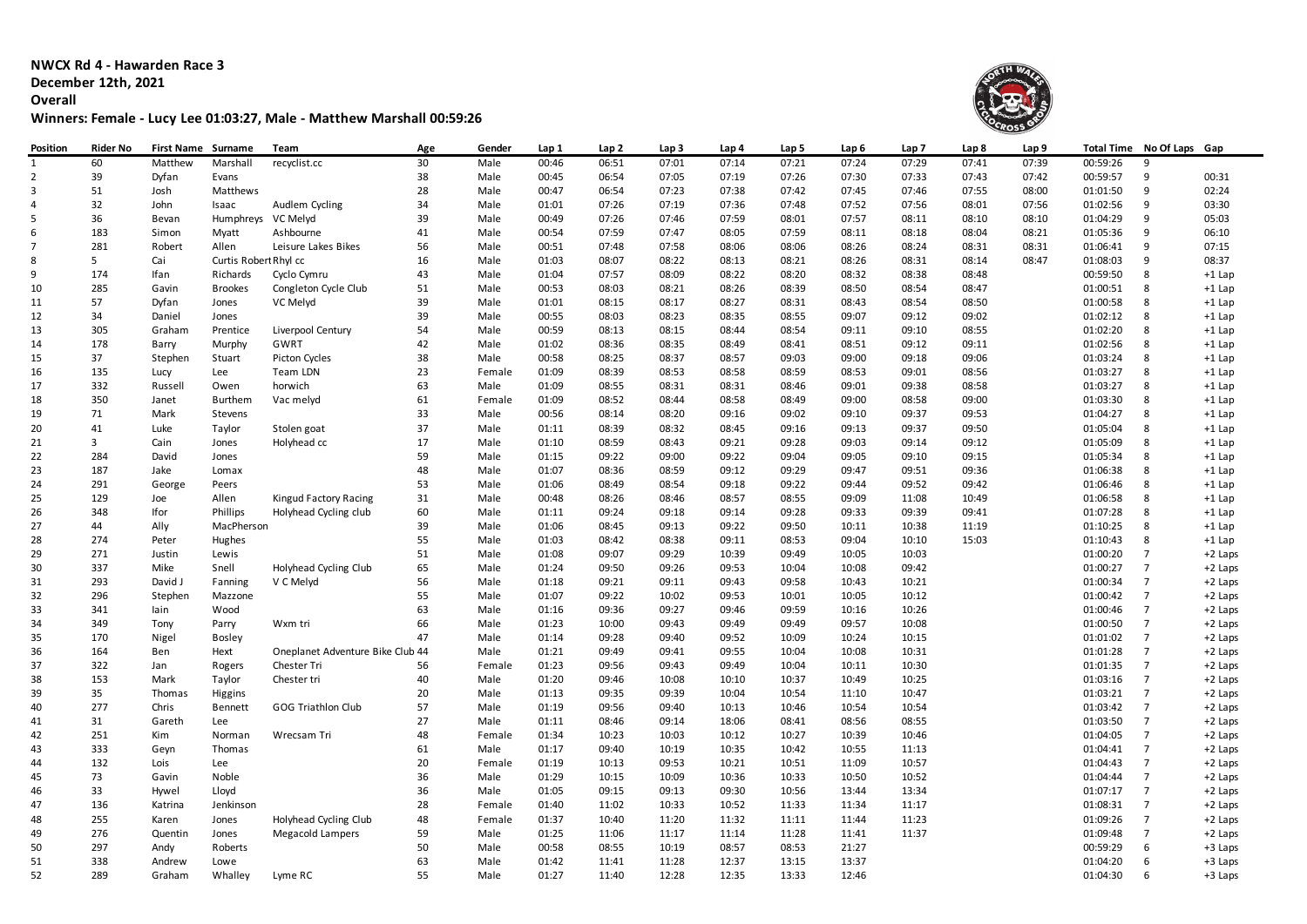**NWCX Rd 4 - Hawarden Race 3 December 12th, 2021**

**Overall**

## **Winners: Female - Lucy Lee 01:03:27, Male - Matthew Marshall 00:59:26**



| Position       | <b>Rider No</b> | First Name Surname |                       | Team                             | Age | Gender | Lap 1 | Lap 2 | Lap <sub>3</sub> | Lap 4 | Lap 5 | Lap 6 | Lap <sub>7</sub> | Lap 8 | Lap 9 |          | Total Time No Of Laps | Gap      |
|----------------|-----------------|--------------------|-----------------------|----------------------------------|-----|--------|-------|-------|------------------|-------|-------|-------|------------------|-------|-------|----------|-----------------------|----------|
| $\mathbf{1}$   | 60              | Matthew            | Marshall              | recyclist.cc                     | 30  | Male   | 00:46 | 06:51 | 07:01            | 07:14 | 07:21 | 07:24 | 07:29            | 07:41 | 07:39 | 00:59:26 | 9                     |          |
| $\overline{2}$ | 39              | Dyfan              | Evans                 |                                  | 38  | Male   | 00:45 | 06:54 | 07:05            | 07:19 | 07:26 | 07:30 | 07:33            | 07:43 | 07:42 | 00:59:57 | 9                     | 00:31    |
| $\mathbf{3}$   | 51              | Josh               | Matthews              |                                  | 28  | Male   | 00:47 | 06:54 | 07:23            | 07:38 | 07:42 | 07:45 | 07:46            | 07:55 | 08:00 | 01:01:50 | 9                     | 02:24    |
| 4              | 32              | John               | Isaac                 | Audlem Cycling                   | 34  | Male   | 01:01 | 07:26 | 07:19            | 07:36 | 07:48 | 07:52 | 07:56            | 08:01 | 07:56 | 01:02:56 | 9                     | 03:30    |
| 5              | 36              | Bevan              | Humphreys VC Melyd    |                                  | 39  | Male   | 00:49 | 07:26 | 07:46            | 07:59 | 08:01 | 07:57 | 08:11            | 08:10 | 08:10 | 01:04:29 | 9                     | 05:03    |
| 6              | 183             | Simon              | Myatt                 | Ashbourne                        | 41  | Male   | 00:54 | 07:59 | 07:47            | 08:05 | 07:59 | 08:11 | 08:18            | 08:04 | 08:21 | 01:05:36 | 9                     | 06:10    |
| $\overline{7}$ | 281             | Robert             | Allen                 | Leisure Lakes Bikes              | 56  | Male   | 00:51 | 07:48 | 07:58            | 08:06 | 08:06 | 08:26 | 08:24            | 08:31 | 08:31 | 01:06:41 | 9                     | 07:15    |
| 8              | 5               | Cai                | Curtis Robert Rhyl cc |                                  | 16  | Male   | 01:03 | 08:07 | 08:22            | 08:13 | 08:21 | 08:26 | 08:31            | 08:14 | 08:47 | 01:08:03 | 9                     | 08:37    |
| 9              | 174             | Ifan               | Richards              | Cyclo Cymru                      | 43  | Male   | 01:04 | 07:57 | 08:09            | 08:22 | 08:20 | 08:32 | 08:38            | 08:48 |       | 00:59:50 | 8                     | $+1$ Lap |
| 10             | 285             | Gavin              | <b>Brookes</b>        | Congleton Cycle Club             | 51  | Male   | 00:53 | 08:03 | 08:21            | 08:26 | 08:39 | 08:50 | 08:54            | 08:47 |       | 01:00:51 | 8                     | $+1$ Lap |
| 11             | 57              | Dyfan              | Jones                 | VC Melyd                         | 39  | Male   | 01:01 | 08:15 | 08:17            | 08:27 | 08:31 | 08:43 | 08:54            | 08:50 |       | 01:00:58 | 8                     | +1 Lap   |
| 12             | 34              | Daniel             | Jones                 |                                  | 39  | Male   | 00:55 | 08:03 | 08:23            | 08:35 | 08:55 | 09:07 | 09:12            | 09:02 |       | 01:02:12 | 8                     | $+1$ Lap |
| 13             | 305             | Graham             | Prentice              | Liverpool Century                | 54  | Male   | 00:59 | 08:13 | 08:15            | 08:44 | 08:54 | 09:11 | 09:10            | 08:55 |       | 01:02:20 | 8                     | $+1$ Lap |
| 14             | 178             | Barry              | Murphy                | GWRT                             | 42  | Male   | 01:02 | 08:36 | 08:35            | 08:49 | 08:41 | 08:51 | 09:12            | 09:11 |       | 01:02:56 | 8                     | $+1$ Lap |
| 15             | 37              | Stephen            | Stuart                | Picton Cycles                    | 38  | Male   | 00:58 | 08:25 | 08:37            | 08:57 | 09:03 | 09:00 | 09:18            | 09:06 |       | 01:03:24 | 8                     | $+1$ Lap |
| 16             | 135             | Lucy               | Lee                   | <b>Team LDN</b>                  | 23  | Female | 01:09 | 08:39 | 08:53            | 08:58 | 08:59 | 08:53 | 09:01            | 08:56 |       | 01:03:27 | 8                     | +1 Lap   |
| 17             | 332             | Russell            | Owen                  | horwich                          | 63  | Male   | 01:09 | 08:55 | 08:31            | 08:31 | 08:46 | 09:01 | 09:38            | 08:58 |       | 01:03:27 | 8                     | $+1$ Lap |
| 18             | 350             | Janet              | Burthem               | Vac melyd                        | 61  | Female | 01:09 | 08:52 | 08:44            | 08:58 | 08:49 | 09:00 | 08:58            | 09:00 |       | 01:03:30 | 8                     | +1 Lap   |
| 19             | 71              | Mark               | Stevens               |                                  | 33  | Male   | 00:56 | 08:14 | 08:20            | 09:16 | 09:02 | 09:10 | 09:37            | 09:53 |       | 01:04:27 | 8                     | $+1$ Lap |
| 20             | 41              | Luke               | Taylor                | Stolen goat                      | 37  | Male   | 01:11 | 08:39 | 08:32            | 08:45 | 09:16 | 09:13 | 09:37            | 09:50 |       | 01:05:04 | 8                     | $+1$ Lap |
| 21             | $\overline{3}$  | Cain               | Jones                 | Holyhead cc                      | 17  | Male   | 01:10 | 08:59 | 08:43            | 09:21 | 09:28 | 09:03 | 09:14            | 09:12 |       | 01:05:09 | 8                     | $+1$ Lap |
| 22             | 284             | David              | Jones                 |                                  | 59  | Male   | 01:15 | 09:22 | 09:00            | 09:22 | 09:04 | 09:05 | 09:10            | 09:15 |       | 01:05:34 | 8                     | $+1$ Lap |
| 23             | 187             | Jake               | Lomax                 |                                  | 48  | Male   | 01:07 | 08:36 | 08:59            | 09:12 | 09:29 | 09:47 | 09:51            | 09:36 |       | 01:06:38 | 8                     | +1 Lap   |
| 24             | 291             | George             | Peers                 |                                  | 53  | Male   | 01:06 | 08:49 | 08:54            | 09:18 | 09:22 | 09:44 | 09:52            | 09:42 |       | 01:06:46 | 8                     | $+1$ Lap |
| 25             | 129             | Joe                | Allen                 | Kingud Factory Racing            | 31  | Male   | 00:48 | 08:26 | 08:46            | 08:57 | 08:55 | 09:09 | 11:08            | 10:49 |       | 01:06:58 | 8                     | $+1$ Lap |
| 26             | 348             | Ifor               | Phillips              | Holyhead Cycling club            | 60  | Male   | 01:11 | 09:24 | 09:18            | 09:14 | 09:28 | 09:33 | 09:39            | 09:41 |       | 01:07:28 | 8                     | $+1$ Lap |
| 27             | 44              | Ally               | MacPherson            |                                  | 39  | Male   | 01:06 | 08:45 | 09:13            | 09:22 | 09:50 | 10:11 | 10:38            | 11:19 |       | 01:10:25 | 8                     | $+1$ Lap |
| 28             | 274             | Peter              | Hughes                |                                  | 55  | Male   | 01:03 | 08:42 | 08:38            | 09:11 | 08:53 | 09:04 | 10:10            | 15:03 |       | 01:10:43 | 8                     | +1 Lap   |
| 29             | 271             | Justin             | Lewis                 |                                  | 51  | Male   | 01:08 | 09:07 | 09:29            | 10:39 | 09:49 | 10:05 | 10:03            |       |       | 01:00:20 | $\overline{7}$        | +2 Laps  |
| 30             | 337             | Mike               | Snell                 | Holyhead Cycling Club            | 65  | Male   | 01:24 | 09:50 | 09:26            | 09:53 | 10:04 | 10:08 | 09:42            |       |       | 01:00:27 | $\overline{7}$        | +2 Laps  |
| 31             | 293             | David J            | Fanning               | V C Melyd                        | 56  | Male   | 01:18 | 09:21 | 09:11            | 09:43 | 09:58 | 10:43 | 10:21            |       |       | 01:00:34 | $\overline{7}$        | +2 Laps  |
| 32             | 296             | Stephen            | Mazzone               |                                  | 55  | Male   | 01:07 | 09:22 | 10:02            | 09:53 | 10:01 | 10:05 | 10:12            |       |       | 01:00:42 | $\overline{7}$        | +2 Laps  |
| 33             | 341             | lain               | Wood                  |                                  | 63  | Male   | 01:16 | 09:36 | 09:27            | 09:46 | 09:59 | 10:16 | 10:26            |       |       | 01:00:46 | $\overline{7}$        | +2 Laps  |
| 34             | 349             | Tony               | Parry                 | Wxm tri                          | 66  | Male   | 01:23 | 10:00 | 09:43            | 09:49 | 09:49 | 09:57 | 10:08            |       |       | 01:00:50 | $\overline{7}$        | +2 Laps  |
| 35             | 170             | Nigel              | <b>Bosley</b>         |                                  | 47  | Male   | 01:14 | 09:28 | 09:40            | 09:52 | 10:09 | 10:24 | 10:15            |       |       | 01:01:02 | $\overline{7}$        | +2 Laps  |
| 36             | 164             | Ben                | Hext                  | Oneplanet Adventure Bike Club 44 |     | Male   | 01:21 | 09:49 | 09:41            | 09:55 | 10:04 | 10:08 | 10:31            |       |       | 01:01:28 | $\overline{7}$        | +2 Laps  |
| 37             | 322             | Jan                | Rogers                | Chester Tri                      | 56  | Female | 01:23 | 09:56 | 09:43            | 09:49 | 10:04 | 10:11 | 10:30            |       |       | 01:01:35 | $\overline{7}$        | +2 Laps  |
| 38             | 153             | Mark               | Taylor                | Chester tri                      | 40  | Male   | 01:20 | 09:46 | 10:08            | 10:10 | 10:37 | 10:49 | 10:25            |       |       | 01:03:16 | $\overline{7}$        | +2 Laps  |
| 39             | 35              | Thomas             | Higgins               |                                  | 20  | Male   | 01:13 | 09:35 | 09:39            | 10:04 | 10:54 | 11:10 | 10:47            |       |       | 01:03:21 | $\overline{7}$        | +2 Laps  |
| 40             | 277             | Chris              | Bennett               | <b>GOG Triathlon Club</b>        | 57  | Male   | 01:19 | 09:56 | 09:40            | 10:13 | 10:46 | 10:54 | 10:54            |       |       | 01:03:42 | $\overline{7}$        | +2 Laps  |
| 41             | 31              | Gareth             | Lee                   |                                  | 27  | Male   | 01:11 | 08:46 | 09:14            | 18:06 | 08:41 | 08:56 | 08:55            |       |       | 01:03:50 | $\overline{7}$        | +2 Laps  |
| 42             | 251             | Kim                | Norman                | Wrecsam Tri                      | 48  | Female | 01:34 | 10:23 | 10:03            | 10:12 | 10:27 | 10:39 | 10:46            |       |       | 01:04:05 | $\overline{7}$        | +2 Laps  |
| 43             | 333             | Geyn               | Thomas                |                                  | 61  | Male   | 01:17 | 09:40 | 10:19            | 10:35 | 10:42 | 10:55 | 11:13            |       |       | 01:04:41 | $\overline{7}$        | +2 Laps  |
| 44             | 132             | Lois               | Lee                   |                                  | 20  | Female | 01:19 | 10:13 | 09:53            | 10:21 | 10:51 | 11:09 | 10:57            |       |       | 01:04:43 | $\overline{7}$        | +2 Laps  |
| 45             | 73              | Gavin              | Noble                 |                                  | 36  | Male   | 01:29 | 10:15 | 10:09            | 10:36 | 10:33 | 10:50 | 10:52            |       |       | 01:04:44 | $\overline{7}$        | +2 Laps  |
| 46             | 33              | Hywel              | Lloyd                 |                                  | 36  | Male   | 01:05 | 09:15 | 09:13            | 09:30 | 10:56 | 13:44 | 13:34            |       |       | 01:07:17 | $\overline{7}$        | +2 Laps  |
| 47             | 136             | Katrina            | Jenkinson             |                                  | 28  | Female | 01:40 | 11:02 | 10:33            | 10:52 | 11:33 | 11:34 | 11:17            |       |       | 01:08:31 | $\overline{7}$        | +2 Laps  |
| 48             | 255             | Karen              | Jones                 | Holyhead Cycling Club            | 48  | Female | 01:37 | 10:40 | 11:20            | 11:32 | 11:11 | 11:44 | 11:23            |       |       | 01:09:26 | $\overline{7}$        | +2 Laps  |
| 49             | 276             | Quentin            | Jones                 | Megacold Lampers                 | 59  | Male   | 01:25 | 11:06 | 11:17            | 11:14 | 11:28 | 11:41 | 11:37            |       |       | 01:09:48 | $\overline{7}$        | +2 Laps  |
| 50             | 297             | Andy               | Roberts               |                                  | 50  | Male   | 00:58 | 08:55 | 10:19            | 08:57 | 08:53 | 21:27 |                  |       |       | 00:59:29 | 6                     | +3 Laps  |
| 51             | 338             | Andrew             | Lowe                  |                                  | 63  | Male   | 01:42 | 11:41 | 11:28            | 12:37 | 13:15 | 13:37 |                  |       |       | 01:04:20 | 6                     | +3 Laps  |
| 52             | 289             | Graham             | Whalley               | Lyme RC                          | 55  | Male   | 01:27 | 11:40 | 12:28            | 12:35 | 13:33 | 12:46 |                  |       |       | 01:04:30 | 6                     | +3 Laps  |
|                |                 |                    |                       |                                  |     |        |       |       |                  |       |       |       |                  |       |       |          |                       |          |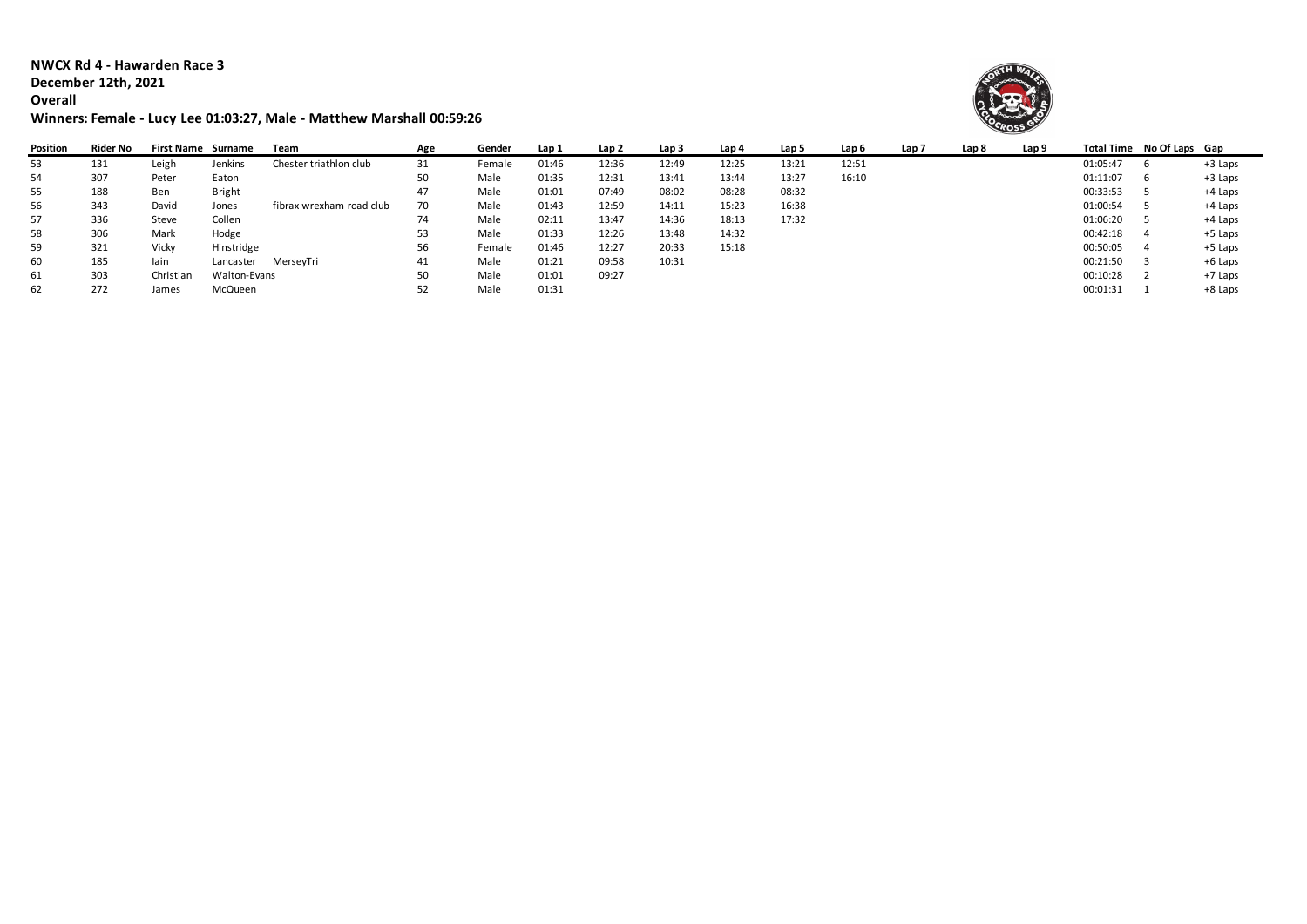**NWCX Rd 4 - Hawarden Race 3 December 12th, 2021**

## **Overall**

## **Winners: Female - Lucy Lee 01:03:27, Male - Matthew Marshall 00:59:26**



| Position | Rider No | First Name Surname |               | Team                     | Age | Gender | Lap 1 | Lap 2 | Lap <sub>3</sub> | Lap 4 | Lap 5 | Lap 6 | Lap 7 | Lap 8 | Lap 9 | Total Time No Of Laps Gap |           |
|----------|----------|--------------------|---------------|--------------------------|-----|--------|-------|-------|------------------|-------|-------|-------|-------|-------|-------|---------------------------|-----------|
| 53       | 131      | Leigh              | Jenkins       | Chester triathlon club   | 31  | Female | 01:46 | 12:36 | 12:49            | 12:25 | 13:21 | 12:51 |       |       |       | 01:05:47                  | $+3$ Laps |
| 54       | 307      | Peter              | Eaton         |                          | 50  | Male   | 01:35 | 12:31 | 13:41            | 13:44 | 13:27 | 16:10 |       |       |       | 01:11:07                  | +3 Laps   |
| 55       | 188      | Ben                | <b>Bright</b> |                          | 47  | Male   | 01:01 | 07:49 | 08:02            | 08:28 | 08:32 |       |       |       |       | 00:33:53                  | +4 Laps   |
| 56       | 343      | David              | Jones         | fibrax wrexham road club | 70  | Male   | 01:43 | 12:59 | 14:11            | 15:23 | 16:38 |       |       |       |       | 01:00:54                  | +4 Laps   |
| 57       | 336      | Steve              | Collen        |                          | 74  | Male   | 02:11 | 13:47 | 14:36            | 18:13 | 17:32 |       |       |       |       | 01:06:20                  | +4 Laps   |
| 58       | 306      | Mark               | Hodge         |                          | 53  | Male   | 01:33 | 12:26 | 13:48            | 14:32 |       |       |       |       |       | 00:42:18                  | +5 Laps   |
| 59       | 321      | Vicky              | Hinstridge    |                          | 56  | Female | 01:46 | 12:27 | 20:33            | 15:18 |       |       |       |       |       | 00:50:05                  | $+5$ Laps |
| 60       | 185      | lain               | Lancaster     | MerseyTri                | 41  | Male   | 01:21 | 09:58 | 10:31            |       |       |       |       |       |       | 00:21:50                  | +6 Laps   |
| 61       | 303      | Christian          | Walton-Evans  |                          | 50  | Male   | 01:01 | 09:27 |                  |       |       |       |       |       |       | 00:10:28                  | +7 Laps   |
| 62       | 272      | James              | McQueen       |                          |     | Male   | 01:31 |       |                  |       |       |       |       |       |       | 00:01:31                  | +8 Laps   |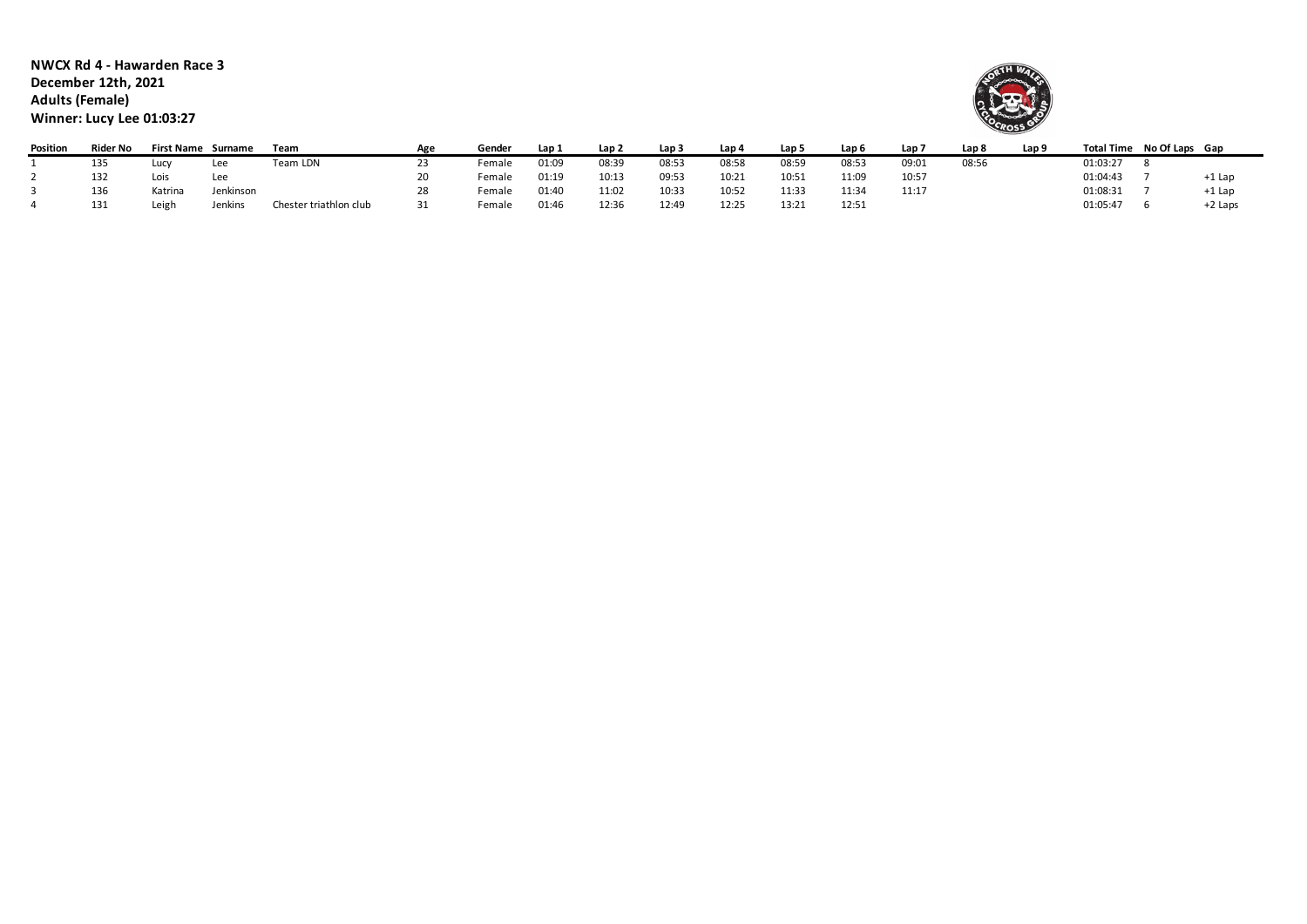**NWCX Rd 4 - Hawarden Race 3 December 12th, 2021 Adults (Female) Winner: Lucy Lee 01:03:27**



 $\sim$ 

| Position | Rider No | <b>First Name</b> | Surname   | Team                   | Age | Gender | Lap 1 | Lap 2 | Lap 3 | Lap 4 | Lap 5 | Lap 6 | Lap 7 | Lap <sub>8</sub> | Lap <sub>9</sub> |          | Total Time No Of Laps Gap |          |
|----------|----------|-------------------|-----------|------------------------|-----|--------|-------|-------|-------|-------|-------|-------|-------|------------------|------------------|----------|---------------------------|----------|
|          | 135      | Lucy              | Lee       | Team LDN               | 23  | Female | 01:09 | 08:39 | 08:53 | 08:58 | 08:59 | 08:53 | 09:01 | 08:56            |                  | 01:03:27 |                           |          |
|          | 132      | Lois              | Lee       |                        |     | Female | 01:19 | 10:13 | 09:53 | 10:21 | 10:51 | 11:09 | 10:57 |                  |                  | 01:04:43 |                           | $+1$ Lap |
|          | 136      | Katrina           | Jenkinson |                        |     | Female | 01:40 | 11:02 | 10:33 | 10:52 | 11:33 | 11:34 | 11:17 |                  |                  | 01:08:31 |                           | $+1$ Lap |
|          | 131      | Leigh             | Jenkins   | Chester triathlon club | 31  | Female | 01:46 | 12:36 | 12:49 | 12:25 | 13:21 | 12:51 |       |                  |                  | 01:05:47 |                           | +2 Laps  |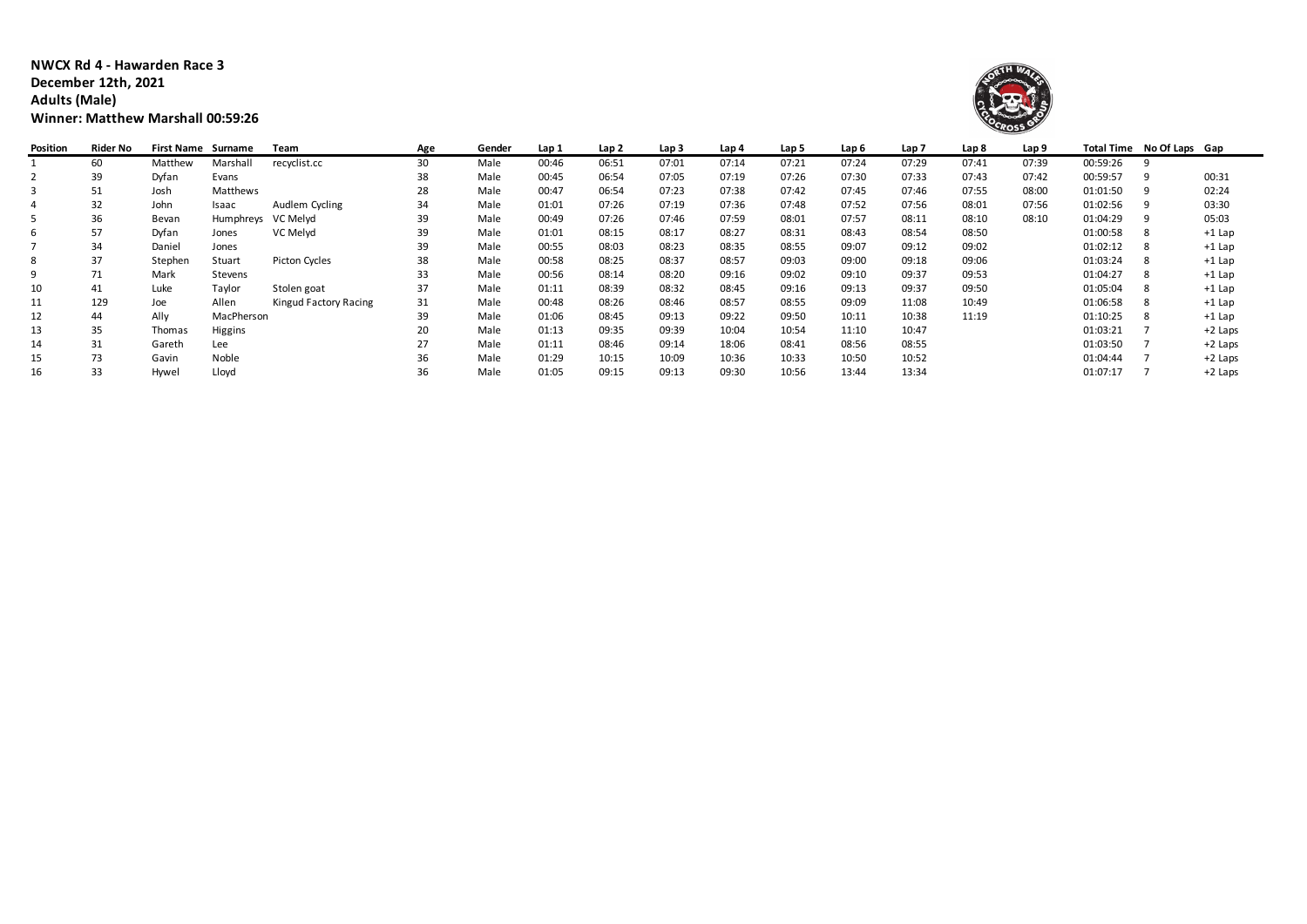## **NWCX Rd 4 - Hawarden Race 3 December 12th, 2021 Adults (Male) Winner: Matthew Marshall 00:59:26**



| Position | Rider No | First Name Surname |            | Team                  | Age | Gender | Lap 1 | Lap <sub>2</sub> | Lap <sub>3</sub> | Lap 4 | Lap 5 | Lap 6 | Lap <sub>7</sub> | Lap 8 | Lap 9 |          | Total Time No Of Laps Gap |           |
|----------|----------|--------------------|------------|-----------------------|-----|--------|-------|------------------|------------------|-------|-------|-------|------------------|-------|-------|----------|---------------------------|-----------|
|          | 60       | Matthew            | Marshall   | recyclist.cc          | 30  | Male   | 00:46 | 06:51            | 07:01            | 07:14 | 07:21 | 07:24 | 07:29            | 07:41 | 07:39 | 00:59:26 |                           |           |
| 2        | 39       | Dyfan              | Evans      |                       | 38  | Male   | 00:45 | 06:54            | 07:05            | 07:19 | 07:26 | 07:30 | 07:33            | 07:43 | 07:42 | 00:59:57 |                           | 00:31     |
| 3        | 51       | Josh               | Matthews   |                       | 28  | Male   | 00:47 | 06:54            | 07:23            | 07:38 | 07:42 | 07:45 | 07:46            | 07:55 | 08:00 | 01:01:50 |                           | 02:24     |
|          | 32       | John               | Isaac      | Audlem Cycling        | 34  | Male   | 01:01 | 07:26            | 07:19            | 07:36 | 07:48 | 07:52 | 07:56            | 08:01 | 07:56 | 01:02:56 | 9                         | 03:30     |
| 5        | 36       | Bevan              | Humphreys  | VC Melvd              | 39  | Male   | 00:49 | 07:26            | 07:46            | 07:59 | 08:01 | 07:57 | 08:11            | 08:10 | 08:10 | 01:04:29 |                           | 05:03     |
| 6        | 57       | Dyfan              | Jones      | VC Melyd              | 39  | Male   | 01:01 | 08:15            | 08:17            | 08:27 | 08:31 | 08:43 | 08:54            | 08:50 |       | 01:00:58 | 8                         | $+1$ Lap  |
|          | 34       | Daniel             | Jones      |                       | 39  | Male   | 00:55 | 08:03            | 08:23            | 08:35 | 08:55 | 09:07 | 09:12            | 09:02 |       | 01:02:12 |                           | $+1$ Lap  |
| 8        | 37       | Stephen            | Stuart     | Picton Cycles         | 38  | Male   | 00:58 | 08:25            | 08:37            | 08:57 | 09:03 | 09:00 | 09:18            | 09:06 |       | 01:03:24 | 8                         | $+1$ Lap  |
| 9        | 71       | Mark               | Stevens    |                       | 33  | Male   | 00:56 | 08:14            | 08:20            | 09:16 | 09:02 | 09:10 | 09:37            | 09:53 |       | 01:04:27 | -8                        | $+1$ Lap  |
| 10       | 41       | Luke               | Taylor     | Stolen goat           | 37  | Male   | 01:11 | 08:39            | 08:32            | 08:45 | 09:16 | 09:13 | 09:37            | 09:50 |       | 01:05:04 |                           | $+1$ Lap  |
| 11       | 129      | Joe                | Allen      | Kingud Factory Racing | 31  | Male   | 00:48 | 08:26            | 08:46            | 08:57 | 08:55 | 09:09 | 11:08            | 10:49 |       | 01:06:58 |                           | $+1$ Lap  |
| 12       | 44       | Ally               | MacPherson |                       | 39  | Male   | 01:06 | 08:45            | 09:13            | 09:22 | 09:50 | 10:11 | 10:38            | 11:19 |       | 01:10:25 |                           | $+1$ Lap  |
| 13       | 35       | Thomas             | Higgins    |                       | 20  | Male   | 01:13 | 09:35            | 09:39            | 10:04 | 10:54 | 11:10 | 10:47            |       |       | 01:03:21 |                           | +2 Laps   |
| 14       | 31       | Gareth             | Lee        |                       | 27  | Male   | 01:11 | 08:46            | 09:14            | 18:06 | 08:41 | 08:56 | 08:55            |       |       | 01:03:50 |                           | $+2$ Laps |
| 15       | 73       | Gavin              | Noble      |                       | 36  | Male   | 01:29 | 10:15            | 10:09            | 10:36 | 10:33 | 10:50 | 10:52            |       |       | 01:04:44 |                           | $+2$ Laps |
| 16       | 33       | Hywel              | Lloyd      |                       | 36  | Male   | 01:05 | 09:15            | 09:13            | 09:30 | 10:56 | 13:44 | 13:34            |       |       | 01:07:17 |                           | $+2$ Laps |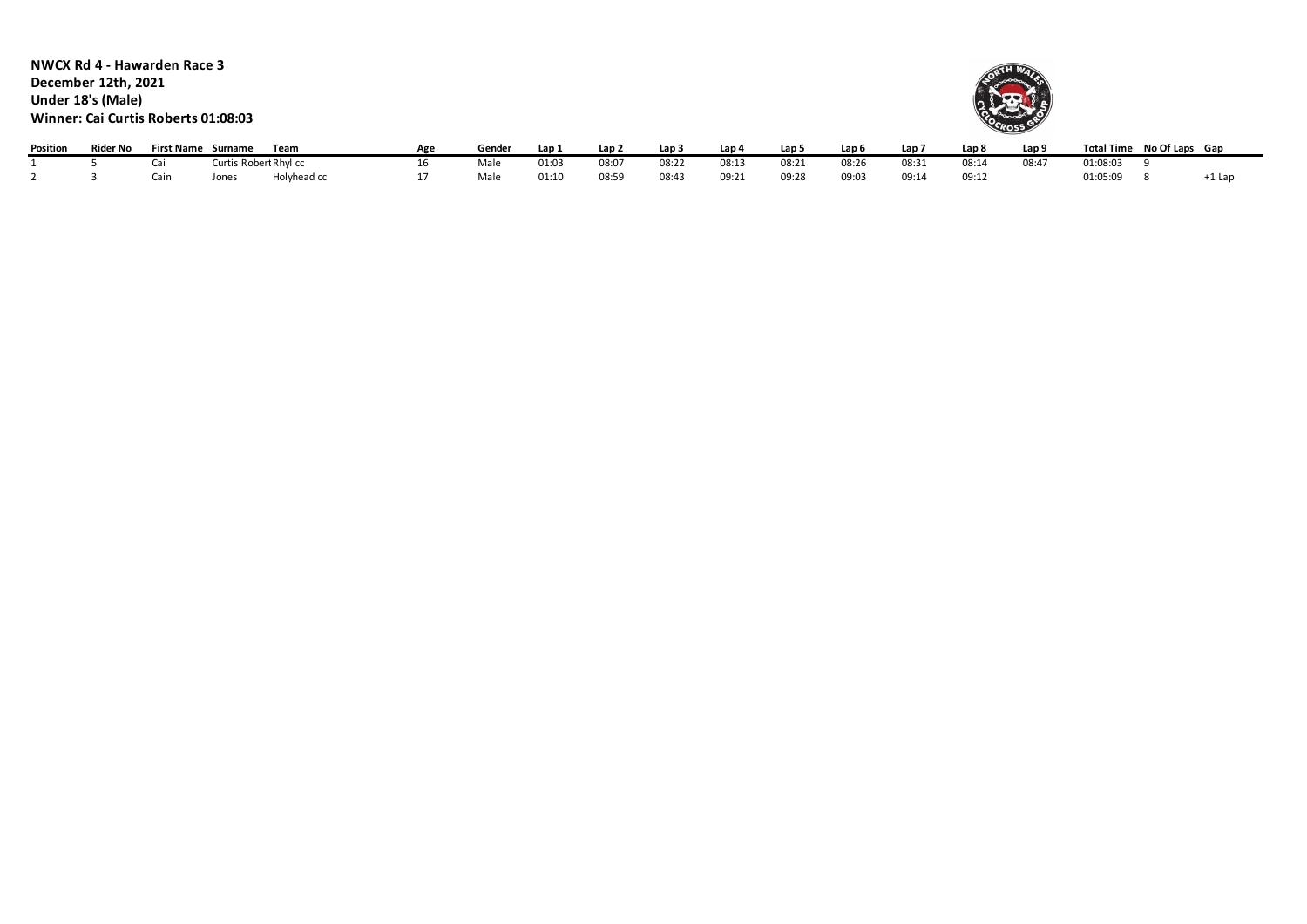**NWCX Rd 4 - Hawarden Race 3 December 12th, 2021 Under 18's (Male) Winner: Cai Curtis Roberts 01:08:03**



| Position | <b>Rider No</b> | First Name Surname |                       | Team        | Gender | Lap .         | Lap 2 | Lap 3 | Lap 4 | Lap 5 | Lap 6 | Lap 7 | Lap 8 | Lap 9 | <b>Total Time</b> | No Of Laps Gap |        |
|----------|-----------------|--------------------|-----------------------|-------------|--------|---------------|-------|-------|-------|-------|-------|-------|-------|-------|-------------------|----------------|--------|
|          |                 |                    | Curtis Robert Rhyl cc |             | Male   | 01.OS<br>U1.0 | 08:07 | 08:22 | 08:13 | 08:2  | 08:26 | 08:31 | 08:14 | 08:47 | 01:08:03          |                |        |
|          |                 | Cain               | Jones                 | Holyhead cc | Male   | 01:10         | 08:59 | 08:43 | 09:21 | 09:28 | 09:03 | 09:14 | 09:12 |       | 01:05:09          |                | -1 Lap |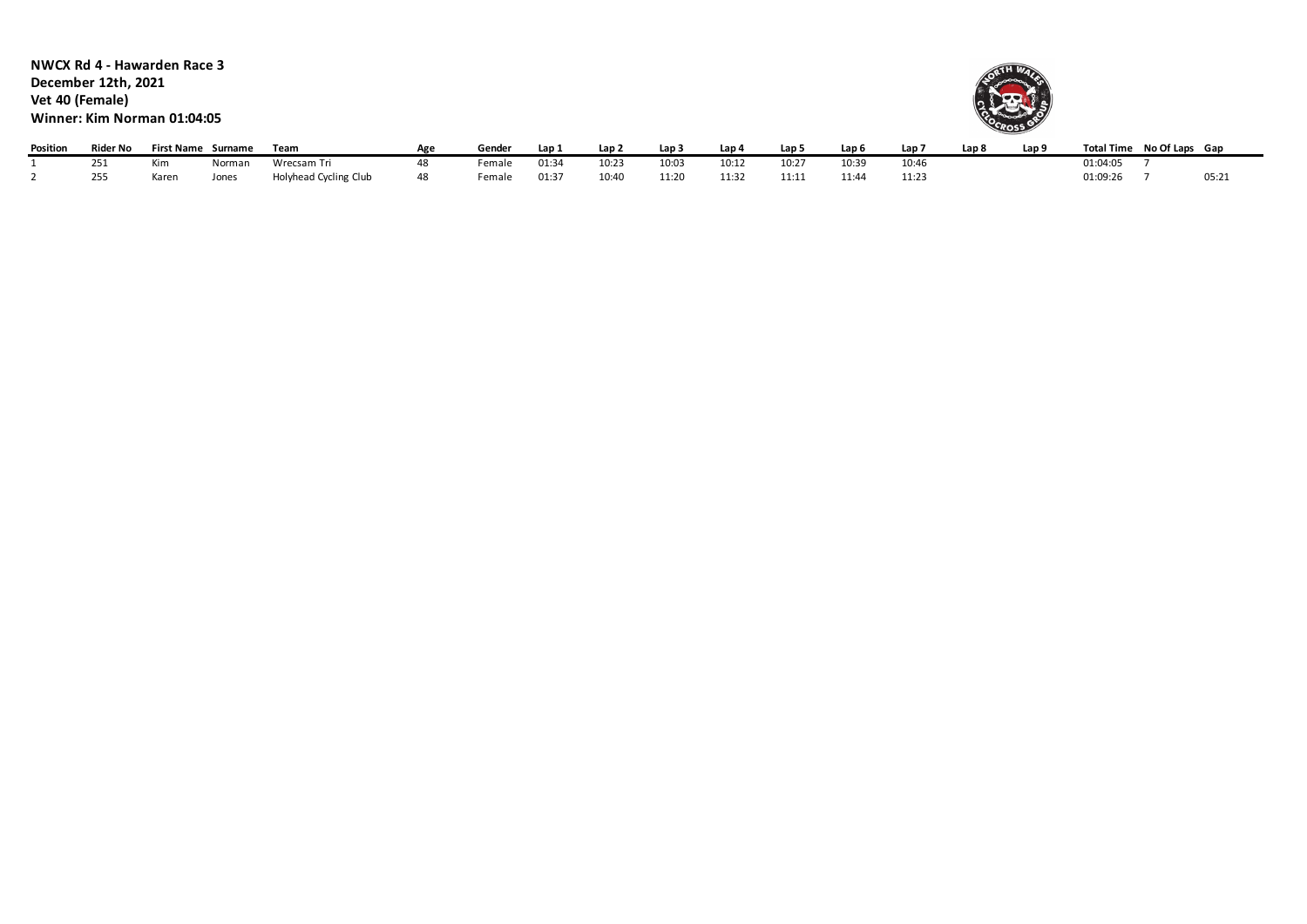**NWCX Rd 4 - Hawarden Race 3 December 12th, 2021 Vet 40 (Female) Winner: Kim Norman 01:04:05**



| Position | Rider No | <b>First Name</b> | Surname | Team                  | Agr | Gender             | Lap:  | Lap 2 | .ap:  | Lap 4     | Lap!       | Lap t | Lap i | Lap 8 | Lap 9 | Total Time No Of Laps Gap |       |
|----------|----------|-------------------|---------|-----------------------|-----|--------------------|-------|-------|-------|-----------|------------|-------|-------|-------|-------|---------------------------|-------|
|          | 251      | Kim               | Norman  | Wrecsam Tri           |     | <sup>:</sup> emale | 01:34 | 10:23 | 10:03 | 10:17     | $10:2^{-}$ | 10:39 | 10:46 |       |       | 01:04:05                  |       |
|          | 255      | Karer             | Jones   | Holyhead Cycling Club | 48  | Female             | 01:37 | 10:40 | 11.20 | $11 - 32$ | 11:11      | 11:44 | 11:23 |       |       | 01:09:26                  | 05:2. |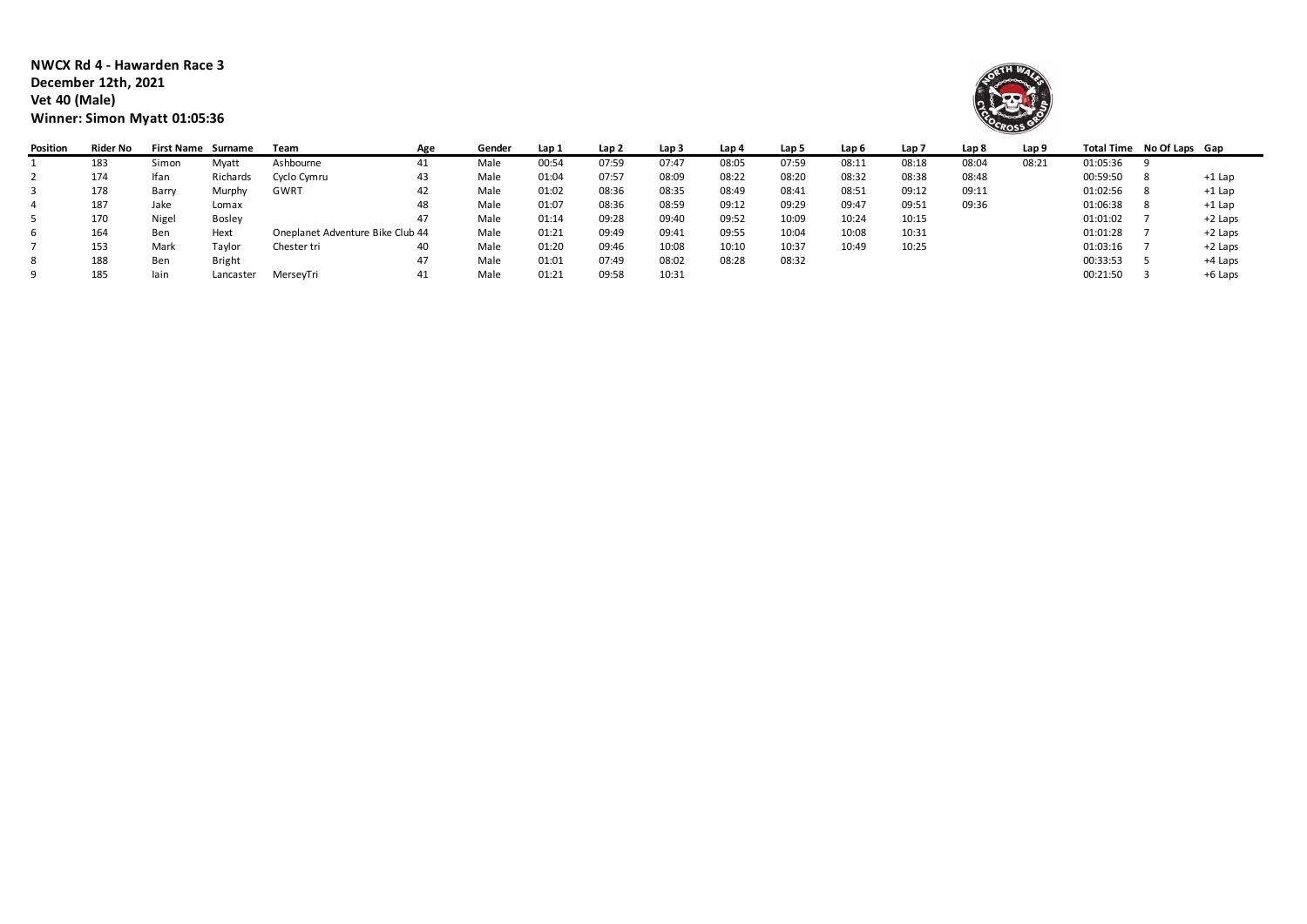**NWCX Rd 4 - Hawarden Race 3 December 12th, 2021 Vet 40 (Male) Winner: Simon Myatt 01:05:36**



| Position | Rider No | First Name Surname |               | Team                             | Age | Gender | Lap 1 | Lap 2 | Lap <sub>3</sub> | Lap 4 | Lap 5 | Lap <sub>6</sub> | Lap 7 | Lap 8 | Lap 9 |          | Total Time No Of Laps Gap |           |
|----------|----------|--------------------|---------------|----------------------------------|-----|--------|-------|-------|------------------|-------|-------|------------------|-------|-------|-------|----------|---------------------------|-----------|
|          | 183      | Simon              | Myatt         | Ashbourne                        | 41  | Male   | 00:54 | 07:59 | 07:47            | 08:05 | 07:59 | 08:11            | 08:18 | 08:04 | 08:21 | 01:05:36 |                           |           |
|          | 174      | Ifan               | Richards      | Cyclo Cymru                      | 43  | Male   | 01:04 | 07:57 | 08:09            | 08:22 | 08:20 | 08:32            | 08:38 | 08:48 |       | 00:59:50 |                           | $+1$ Lap  |
|          | 178      | Barry              | Murphy        | GWRT                             | 42  | Male   | 01:02 | 08:36 | 08:35            | 08:49 | 08:41 | 08:51            | 09:12 | 09:11 |       | 01:02:56 |                           | $+1$ Lap  |
|          | 187      | Jake               | Lomax         |                                  | 48  | Male   | 01:07 | 08:36 | 08:59            | 09:12 | 09:29 | 09:47            | 09:51 | 09:36 |       | 01:06:38 |                           | $+1$ Lap  |
|          | 170      | Nigel              | <b>Bosley</b> |                                  | 47  | Male   | 01:14 | 09:28 | 09:40            | 09:52 | 10:09 | 10:24            | 10:15 |       |       | 01:01:02 |                           | $+2$ Laps |
|          | 164      | Ben                | Hext          | Oneplanet Adventure Bike Club 44 |     | Male   | 01:21 | 09:49 | 09:41            | 09:55 | 10:04 | 10:08            | 10:31 |       |       | 01:01:28 |                           | $+2$ Laps |
|          | 153      | Mark               | Taylor        | Chester tri                      | 40  | Male   | 01:20 | 09:46 | 10:08            | 10:10 | 10:37 | 10:49            | 10:25 |       |       | 01:03:16 |                           | $+2$ Laps |
| 8        | 188      | Ben                | <b>Bright</b> |                                  | 47  | Male   | 01:01 | 07:49 | 08:02            | 08:28 | 08:32 |                  |       |       |       | 00:33:53 |                           | +4 Laps   |
|          | 185      | lain               | Lancaster     | MersevTri                        | 41  | Male   | 01:21 | 09:58 | 10:31            |       |       |                  |       |       |       | 00:21:50 |                           | +6 Laps   |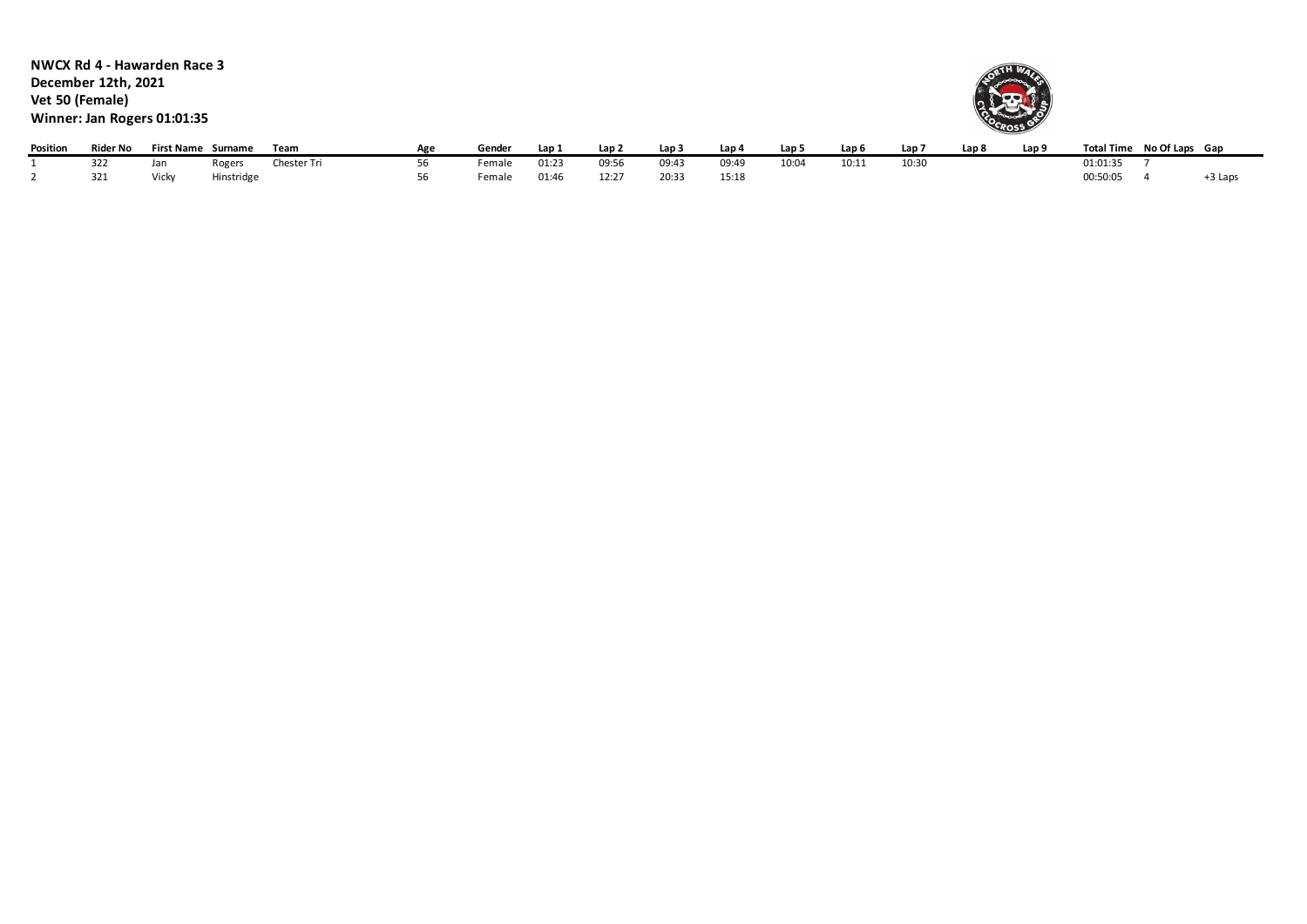**NWCX Rd 4 - Hawarden Race 3 December 12th, 2021 Vet 50 (Female) Winner: Jan Rogers 01:01:35**



| Position | Rider No | <b>First Name</b> | Surname    | Team        | Δσρ | Gender | "Lap  | Lan 2 | Lap 3 | Lap 4 | Lap <sub>5</sub> | Lap <sub>6</sub> | Lap <sup>-</sup> | Lan 8 | Lap 9 |          | Total Time No Of Laps Gap |         |
|----------|----------|-------------------|------------|-------------|-----|--------|-------|-------|-------|-------|------------------|------------------|------------------|-------|-------|----------|---------------------------|---------|
|          | 322      | Jan               | ogers!     | Chester Tri |     | emale  | 01:23 | 09:56 | 09:43 | 09:49 | 10:04            | 10:11            | 10:30            |       |       | 01:01:35 |                           |         |
|          | 321      | $5$ lieler        | Hinstridge |             |     | emale  | 01:46 | 12:27 | 20:33 | 15:18 |                  |                  |                  |       |       | 00:50:05 |                           | ኑ3 Laps |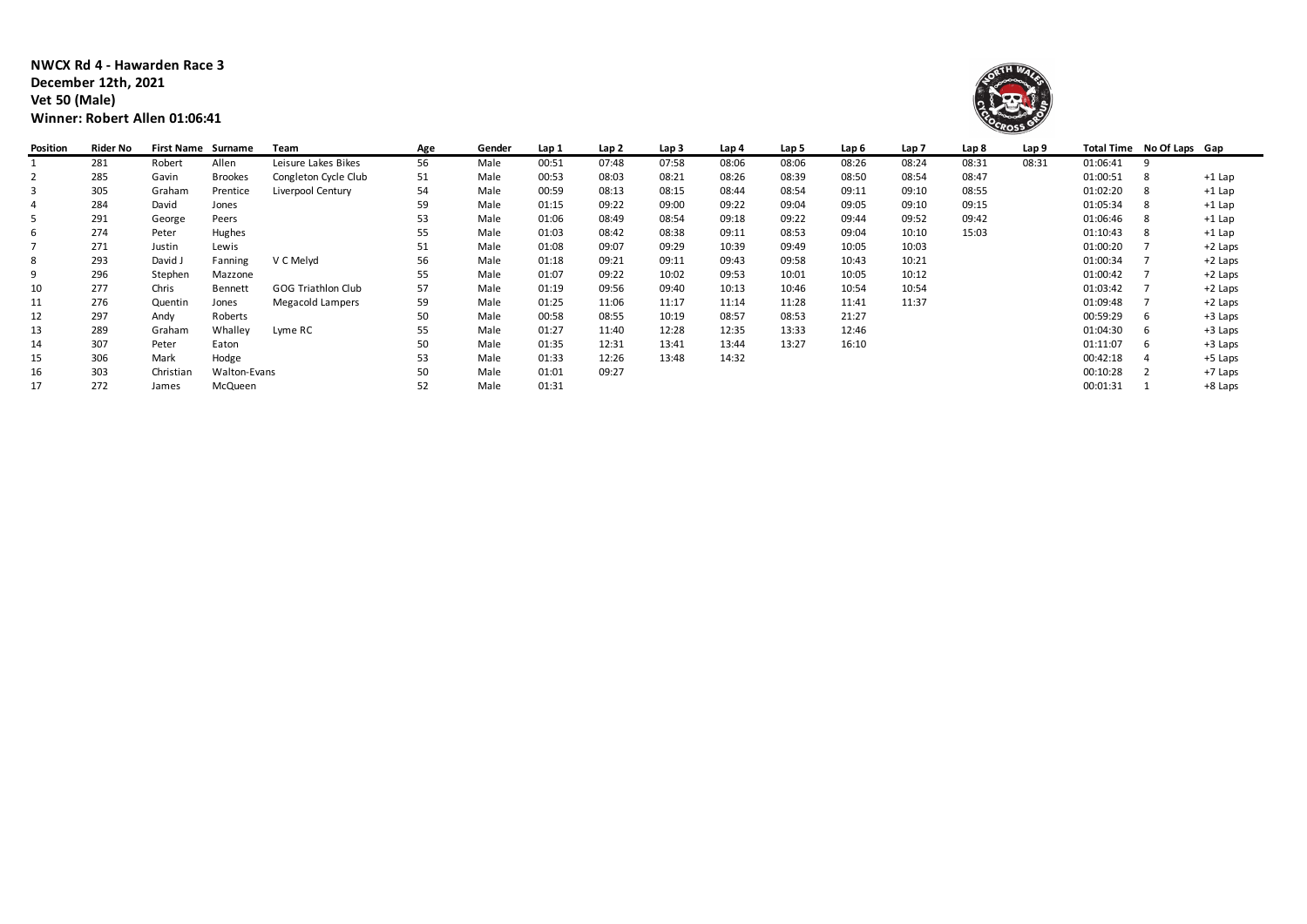**NWCX Rd 4 - Hawarden Race 3 December 12th, 2021 Vet 50 (Male) Winner: Robert Allen 01:06:41**



| Position | Rider No | <b>First Name Surname</b> |                | Team                      | Age | Gender | Lap 1 | Lap 2 | Lap <sub>3</sub> | Lap 4 | Lap 5 | Lap 6 | Lap <sub>7</sub> | Lap 8 | Lap 9 |          | Total Time No Of Laps Gap |          |
|----------|----------|---------------------------|----------------|---------------------------|-----|--------|-------|-------|------------------|-------|-------|-------|------------------|-------|-------|----------|---------------------------|----------|
|          | 281      | Robert                    | Allen          | Leisure Lakes Bikes       | 56  | Male   | 00:51 | 07:48 | 07:58            | 08:06 | 08:06 | 08:26 | 08:24            | 08:31 | 08:31 | 01:06:41 |                           |          |
| 2        | 285      | Gavin                     | <b>Brookes</b> | Congleton Cycle Club      | 51  | Male   | 00:53 | 08:03 | 08:21            | 08:26 | 08:39 | 08:50 | 08:54            | 08:47 |       | 01:00:51 |                           | $+1$ Lap |
| 3        | 305      | Graham                    | Prentice       | Liverpool Century         | 54  | Male   | 00:59 | 08:13 | 08:15            | 08:44 | 08:54 | 09:11 | 09:10            | 08:55 |       | 01:02:20 |                           | $+1$ Lap |
| 4        | 284      | David                     | Jones          |                           | 59  | Male   | 01:15 | 09:22 | 09:00            | 09:22 | 09:04 | 09:05 | 09:10            | 09:15 |       | 01:05:34 |                           | $+1$ Lap |
| 5        | 291      | George                    | Peers          |                           | 53  | Male   | 01:06 | 08:49 | 08:54            | 09:18 | 09:22 | 09:44 | 09:52            | 09:42 |       | 01:06:46 |                           | $+1$ Lap |
| 6        | 274      | Peter                     | Hughes         |                           | 55  | Male   | 01:03 | 08:42 | 08:38            | 09:11 | 08:53 | 09:04 | 10:10            | 15:03 |       | 01:10:43 |                           | $+1$ Lap |
|          | 271      | Justin                    | Lewis          |                           | 51  | Male   | 01:08 | 09:07 | 09:29            | 10:39 | 09:49 | 10:05 | 10:03            |       |       | 01:00:20 |                           | +2 Laps  |
| 8        | 293      | David J                   | Fanning        | V C Melyd                 | 56  | Male   | 01:18 | 09:21 | 09:11            | 09:43 | 09:58 | 10:43 | 10:21            |       |       | 01:00:34 |                           | +2 Laps  |
| 9        | 296      | Stephen                   | Mazzone        |                           | 55  | Male   | 01:07 | 09:22 | 10:02            | 09:53 | 10:01 | 10:05 | 10:12            |       |       | 01:00:42 |                           | +2 Laps  |
| 10       | 277      | Chris                     | Bennett        | <b>GOG Triathlon Club</b> | 57  | Male   | 01:19 | 09:56 | 09:40            | 10:13 | 10:46 | 10:54 | 10:54            |       |       | 01:03:42 |                           | +2 Laps  |
| 11       | 276      | Quentin                   | Jones          | <b>Megacold Lampers</b>   | 59  | Male   | 01:25 | 11:06 | 11:17            | 11:14 | 11:28 | 11:41 | 11:37            |       |       | 01:09:48 |                           | +2 Laps  |
| 12       | 297      | Andy                      | Roberts        |                           | 50  | Male   | 00:58 | 08:55 | 10:19            | 08:57 | 08:53 | 21:27 |                  |       |       | 00:59:29 | 6                         | +3 Laps  |
| 13       | 289      | Graham                    | Whalley        | Lyme RC                   | 55  | Male   | 01:27 | 11:40 | 12:28            | 12:35 | 13:33 | 12:46 |                  |       |       | 01:04:30 |                           | +3 Laps  |
| 14       | 307      | Peter                     | Eaton          |                           | 50  | Male   | 01:35 | 12:31 | 13:41            | 13:44 | 13:27 | 16:10 |                  |       |       | 01:11:07 |                           | +3 Laps  |
| 15       | 306      | Mark                      | Hodge          |                           | 53  | Male   | 01:33 | 12:26 | 13:48            | 14:32 |       |       |                  |       |       | 00:42:18 |                           | +5 Laps  |
| 16       | 303      | Christian                 | Walton-Evans   |                           | 50  | Male   | 01:01 | 09:27 |                  |       |       |       |                  |       |       | 00:10:28 |                           | +7 Laps  |
| 17       | 272      | James                     | McQueen        |                           | 52  | Male   | 01:31 |       |                  |       |       |       |                  |       |       | 00:01:31 |                           | +8 Laps  |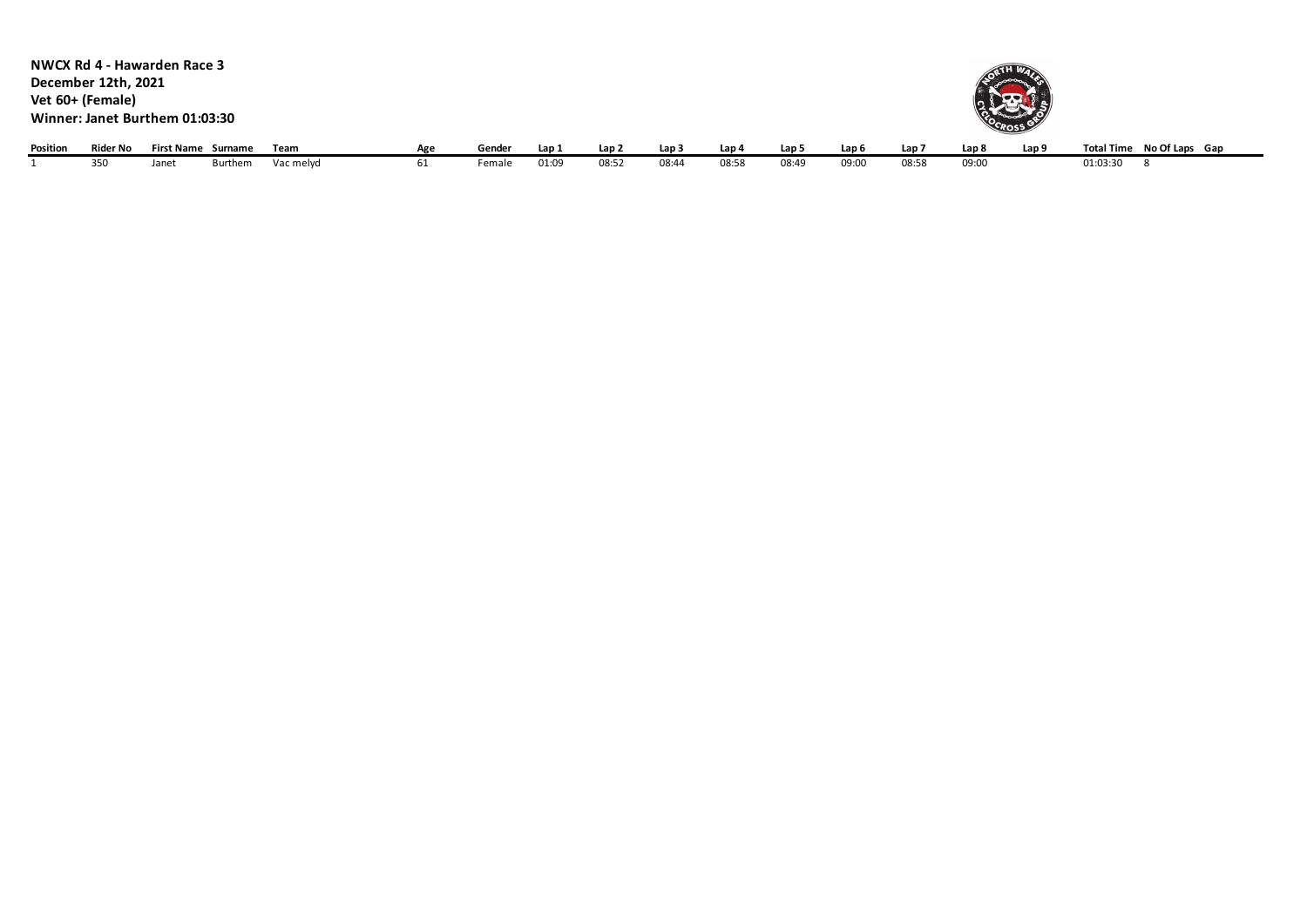|          | NWCX Rd 4 - Hawarden Race 3<br>December 12th, 2021<br>Vet 60+ (Female)<br>Winner: Janet Burthem 01:03:30 |       |                    |           |     |        |       |       |       |       |                  |       |       | COCROSS |                  |                           |  |
|----------|----------------------------------------------------------------------------------------------------------|-------|--------------------|-----------|-----|--------|-------|-------|-------|-------|------------------|-------|-------|---------|------------------|---------------------------|--|
| Position | Rider No                                                                                                 |       | First Name Surname | Team      | Age | Gender | Lap 1 | Lap 2 | Lap 3 | Lap 4 | Lap <sub>5</sub> | Lap 6 | Lap 7 | Lap 8   | Lap <sub>9</sub> | Total Time No Of Laps Gap |  |
|          | 350                                                                                                      | Janet | Burthem            | Vac melyd | 61  | Female | 01:09 | 08:52 | 08:44 | 08:58 | 08:49            | 09:00 | 08:58 | 09:00   |                  | 01:03:30                  |  |